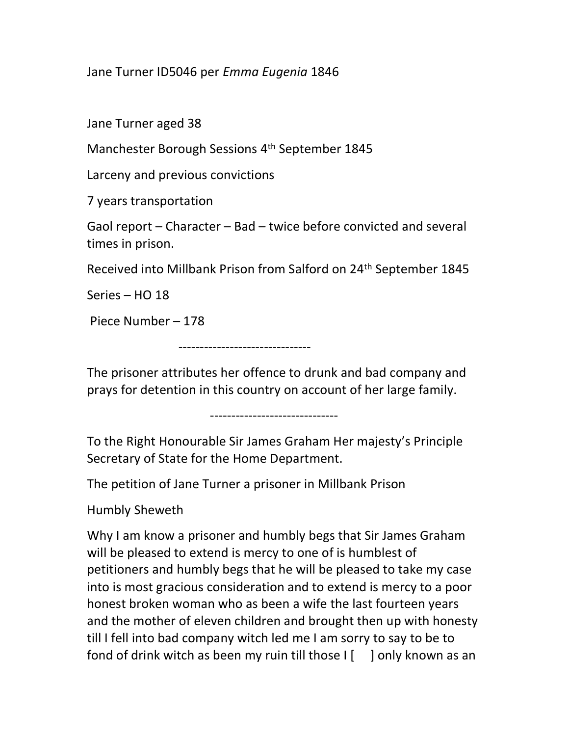Jane Turner ID5046 per Emma Eugenia 1846

Jane Turner aged 38

Manchester Borough Sessions 4th September 1845

Larceny and previous convictions

7 years transportation

Gaol report – Character – Bad – twice before convicted and several times in prison.

Received into Millbank Prison from Salford on 24th September 1845

Series – HO 18

Piece Number – 178

-------------------------------

The prisoner attributes her offence to drunk and bad company and prays for detention in this country on account of her large family.

------------------------------

To the Right Honourable Sir James Graham Her majesty's Principle Secretary of State for the Home Department.

The petition of Jane Turner a prisoner in Millbank Prison

Humbly Sheweth

Why I am know a prisoner and humbly begs that Sir James Graham will be pleased to extend is mercy to one of is humblest of petitioners and humbly begs that he will be pleased to take my case into is most gracious consideration and to extend is mercy to a poor honest broken woman who as been a wife the last fourteen years and the mother of eleven children and brought then up with honesty till I fell into bad company witch led me I am sorry to say to be to fond of drink witch as been my ruin till those  $I \begin{bmatrix} 1 \\ 0 \end{bmatrix}$  only known as an